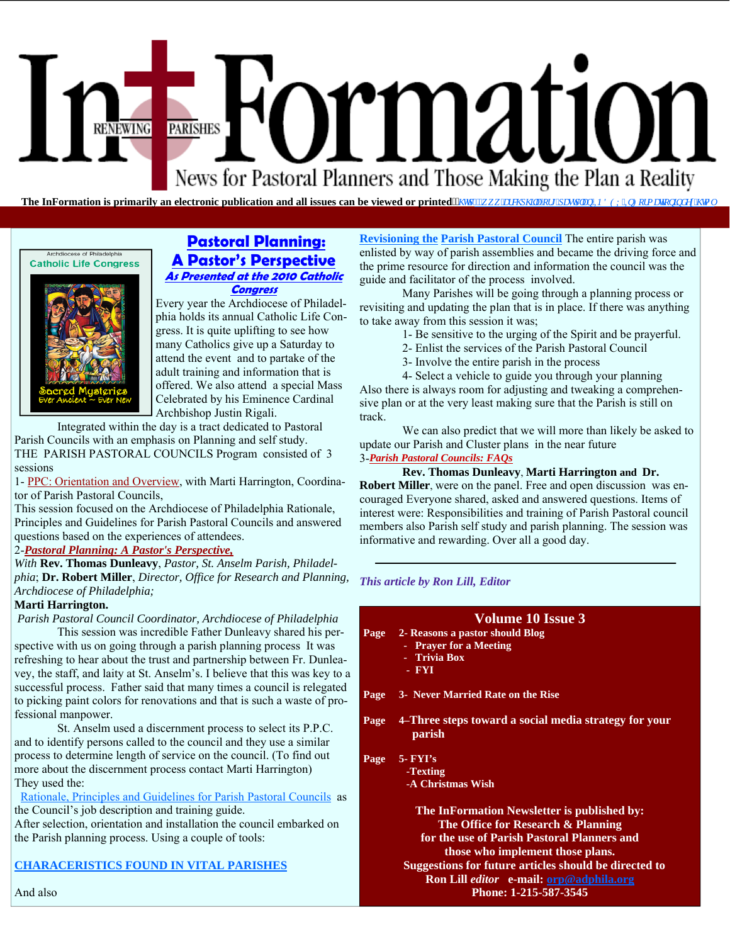# Formation PARISHES **RENEWING** News for Pastoral Planners and Those Making the Plan a Reality

**The InFormation is primarily an electronic publication and all issues can be viewed or printed<sup>** $\lambda$ **</sup>/w**  $d_N \vee \theta$  **is in least to be** *sumplife FCZ libHato cykplof gz***(***l* **to n** 

#### Archdiocese of Philadelphia **Catholic Life Congress**



#### **Pastoral Planning: A Pastor's Perspective As Presented at the 2010 Catholic Congress**

Every year the Archdiocese of Philadelphia holds its annual Catholic Life Congress. It is quite uplifting to see how many Catholics give up a Saturday to attend the event and to partake of the adult training and information that is offered. We also attend a special Mass Celebrated by his Eminence Cardinal Archbishop Justin Rigali.

 Integrated within the day is a tract dedicated to Pastoral Parish Councils with an emphasis on Planning and self study. THE PARISH PASTORAL COUNCILS Program consisted of 3 sessions

1- PPC: Orientation and Overview, with Marti Harrington, Coordinator of Parish Pastoral Councils,

This session focused on the Archdiocese of Philadelphia Rationale, Principles and Guidelines for Parish Pastoral Councils and answered questions based on the experiences of attendees.

#### 2-*Pastoral Planning: A Pastor's Perspective,*

*With* **Rev. Thomas Dunleavy**, *Pastor, St. Anselm Parish, Philadelphia*; **Dr. Robert Miller**, *Director, Office for Research and Planning, Archdiocese of Philadelphia;* 

#### **Marti Harrington.**

*Parish Pastoral Council Coordinator, Archdiocese of Philadelphia*

 This session was incredible Father Dunleavy shared his perspective with us on going through a parish planning process It was refreshing to hear about the trust and partnership between Fr. Dunleavey, the staff, and laity at St. Anselm's. I believe that this was key to a successful process. Father said that many times a council is relegated to picking paint colors for renovations and that is such a waste of professional manpower.

 St. Anselm used a discernment process to select its P.P.C. and to identify persons called to the council and they use a similar process to determine length of service on the council. (To find out more about the discernment process contact Marti Harrington) They used the:

 [Rationale, Principles and Guidelines for Parish Pastoral Councils as](http://www.archphila.org/pastplan/INDEX/PPCindex.html)  the Council's job description and training guide.

After selection, orientation and installation the council embarked on the Parish planning process. Using a couple of tools:

#### **[CHARACERISTICS FOUND IN VITAL PARISHES](http://www.archphila.org/pastplan/INDEX/AnnRevIndex.html)**

**Revisioning the Parish Pastoral Council** The entire parish was enlisted by way of parish assemblies and became the driving force and the prime resource for direction and information the council was the guide and facilitator of the process involved.

 Many Parishes will be going through a planning process or revisiting and updating the plan that is in place. If there was anything to take away from this session it was;

- 1- Be sensitive to the urging of the Spirit and be prayerful.
- 2- Enlist the services of the Parish Pastoral Council
- 3- Involve the entire parish in the process

 4- Select a vehicle to guide you through your planning Also there is always room for adjusting and tweaking a comprehensive plan or at the very least making sure that the Parish is still on track.

 We can also predict that we will more than likely be asked to update our Parish and Cluster plans in the near future

#### 3-*Parish Pastoral Councils: FAQs*

 **Rev. Thomas Dunleavy**, **Marti Harrington and Dr. Robert Miller**, were on the panel. Free and open discussion was encouraged Everyone shared, asked and answered questions. Items of interest were: Responsibilities and training of Parish Pastoral council members also Parish self study and parish planning. The session was informative and rewarding. Over all a good day.

#### *This article by Ron Lill, Editor*

#### **Volume 10 Issue 3**

- **Page 2- Reasons a pastor should Blog** 
	- **Prayer for a Meeting**
	- **Trivia Box**
	- **FYI**
- **Page 3- Never Married Rate on the Rise**
- **Page 4–Three steps toward a social media strategy for your parish**

#### **Page 5- FYI's**

- **-Texting** 
	- **-A Christmas Wish**

**The InFormation Newsletter is published by: The Office for Research & Planning for the use of Parish Pastoral Planners and those who implement those plans. Suggestions for future articles should be directed to Ron Lill** *editor* **e-mail: orp@adphila.org Phone: 1-215-587-3545** 

And also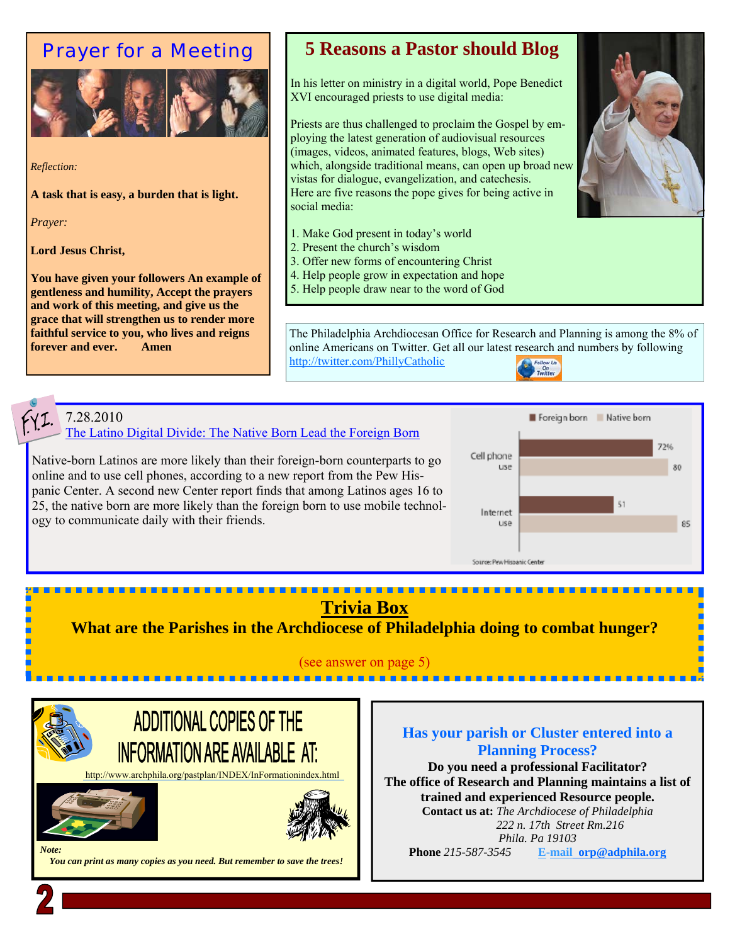### Prayer for a Meeting



*Reflection:* 

**A task that is easy, a burden that is light.** 

*Prayer:* 

**Lord Jesus Christ,** 

**You have given your followers An example of gentleness and humility, Accept the prayers and work of this meeting, and give us the grace that will strengthen us to render more faithful service to you, who lives and reigns forever and ever. Amen** 

### **5 Reasons a Pastor should Blog**

In his letter on ministry in a digital world, Pope Benedict XVI encouraged priests to use digital media:

Priests are thus challenged to proclaim the Gospel by employing the latest generation of audiovisual resources (images, videos, animated features, blogs, Web sites) which, alongside traditional means, can open up broad new vistas for dialogue, evangelization, and catechesis. Here are five reasons the pope gives for being active in social media:

- 1. Make God present in today's world
- 2. Present the church's wisdom
- 3. Offer new forms of encountering Christ
- 4. Help people grow in expectation and hope
- 5. Help people draw near to the word of God

The Philadelphia Archdiocesan Office for Research and Planning is among the 8% of online Americans on Twitter. Get all our latest research and numbers by following http://twitter.com/PhillyCatholic

### 7.28.2010

The Latino Digital Divide: The Native Born Lead the Foreign Born

Native-born Latinos are more likely than their foreign-born counterparts to go online and to use cell phones, according to a new report from the Pew Hispanic Center. A second new Center report finds that among Latinos ages 16 to 25, the native born are more likely than the foreign born to use mobile technology to communicate daily with their friends.



## **Trivia Box**

<u>. . . . . . . . .</u>

**What are the Parishes in the Archdiocese of Philadelphia doing to combat hunger?** 

#### (see answer on page 5) -----------



-------------------------

 *You can print as many copies as you need. But remember to save the trees!* 

### **Has your parish or Cluster entered into a Planning Process?**

**Do you need a professional Facilitator? The office of Research and Planning maintains a list of trained and experienced Resource people.** 

**Contact us at:** *The Archdiocese of Philadelphia 222 n. 17th Street Rm.216 Phila. Pa 19103* 

**Phone** *215-587-3545* **E-mail orp@adphila.org**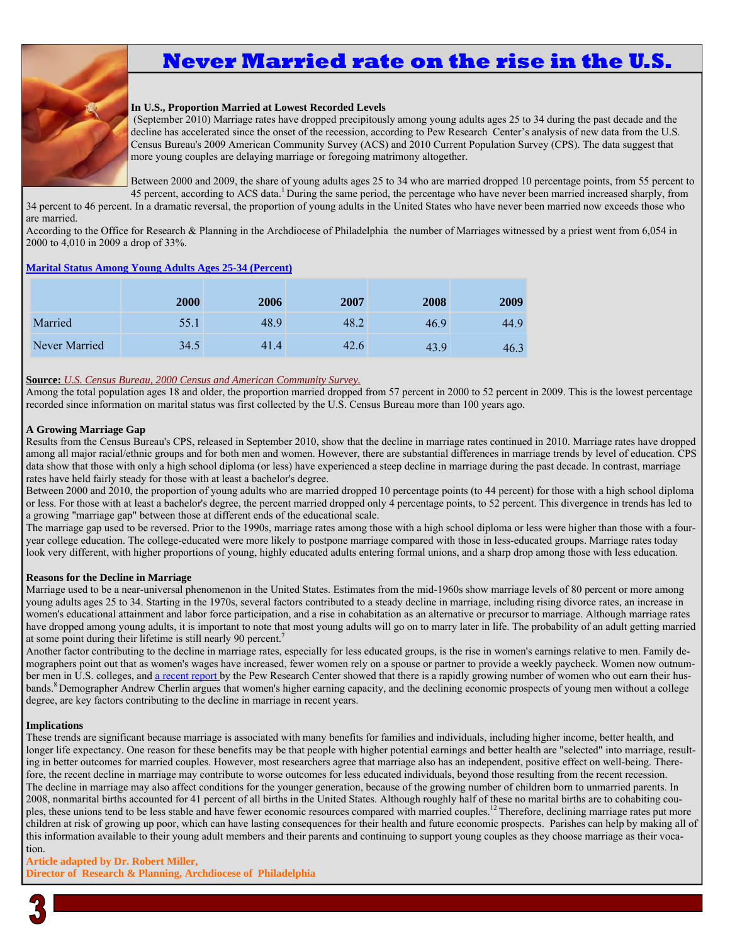# **Never Married rate on the rise in the U.S.**



#### **In U.S., Proportion Married at Lowest Recorded Levels**

 (September 2010) Marriage rates have dropped precipitously among young adults ages 25 to 34 during the past decade and the decline has accelerated since the onset of the recession, according to Pew Research Center's analysis of new data from the U.S. Census Bureau's 2009 American Community Survey (ACS) and 2010 Current Population Survey (CPS). The data suggest that more young couples are delaying marriage or foregoing matrimony altogether.

Between 2000 and 2009, the share of young adults ages 25 to 34 who are married dropped 10 percentage points, from 55 percent to 45 percent, according to ACS data.<sup>1</sup> During the same period, the percentage who have never been married increased sharply, from

34 percent to 46 percent. In a dramatic reversal, the proportion of young adults in the United States who have never been married now exceeds those who are married.

According to the Office for Research & Planning in the Archdiocese of Philadelphia the number of Marriages witnessed by a priest went from 6,054 in 2000 to 4,010 in 2009 a drop of 33%.

#### **Marital Status Among Young Adults Ages 25-34 (Percent)**

|               | 2000 | 2006 | 2007 | 2008 | 2009 |
|---------------|------|------|------|------|------|
| Married       | 55.1 | 48.9 | 48.2 | 46.9 | 44.9 |
| Never Married | 34.5 | 41.4 | 42.6 | 43.9 | 46.3 |

#### **Source:** *U.S. Census Bureau, 2000 Census and American Community Survey.*

Among the total population ages 18 and older, the proportion married dropped from 57 percent in 2000 to 52 percent in 2009. This is the lowest percentage recorded since information on marital status was first collected by the U.S. Census Bureau more than 100 years ago.

#### **A Growing Marriage Gap**

Results from the Census Bureau's CPS, released in September 2010, show that the decline in marriage rates continued in 2010. Marriage rates have dropped among all major racial/ethnic groups and for both men and women. However, there are substantial differences in marriage trends by level of education. CPS data show that those with only a high school diploma (or less) have experienced a steep decline in marriage during the past decade. In contrast, marriage rates have held fairly steady for those with at least a bachelor's degree.

Between 2000 and 2010, the proportion of young adults who are married dropped 10 percentage points (to 44 percent) for those with a high school diploma or less. For those with at least a bachelor's degree, the percent married dropped only 4 percentage points, to 52 percent. This divergence in trends has led to a growing "marriage gap" between those at different ends of the educational scale.

The marriage gap used to be reversed. Prior to the 1990s, marriage rates among those with a high school diploma or less were higher than those with a fouryear college education. The college-educated were more likely to postpone marriage compared with those in less-educated groups. Marriage rates today look very different, with higher proportions of young, highly educated adults entering formal unions, and a sharp drop among those with less education.

#### **Reasons for the Decline in Marriage**

Marriage used to be a near-universal phenomenon in the United States. Estimates from the mid-1960s show marriage levels of 80 percent or more among young adults ages 25 to 34. Starting in the 1970s, several factors contributed to a steady decline in marriage, including rising divorce rates, an increase in women's educational attainment and labor force participation, and a rise in cohabitation as an alternative or precursor to marriage. Although marriage rates have dropped among young adults, it is important to note that most young adults will go on to marry later in life. The probability of an adult getting married at some point during their lifetime is still nearly 90 percent.7

Another factor contributing to the decline in marriage rates, especially for less educated groups, is the rise in women's earnings relative to men. Family demographers point out that as women's wages have increased, fewer women rely on a spouse or partner to provide a weekly paycheck. Women now outnumber men in U.S. colleges, and a recent report by the Pew Research Center showed that there is a rapidly growing number of women who out earn their husbands.<sup>8</sup> Demographer Andrew Cherlin argues that women's higher earning capacity, and the declining economic prospects of young men without a college degree, are key factors contributing to the decline in marriage in recent years.

#### **Implications**

These trends are significant because marriage is associated with many benefits for families and individuals, including higher income, better health, and longer life expectancy. One reason for these benefits may be that people with higher potential earnings and better health are "selected" into marriage, resulting in better outcomes for married couples. However, most researchers agree that marriage also has an independent, positive effect on well-being. Therefore, the recent decline in marriage may contribute to worse outcomes for less educated individuals, beyond those resulting from the recent recession. The decline in marriage may also affect conditions for the younger generation, because of the growing number of children born to unmarried parents. In 2008, nonmarital births accounted for 41 percent of all births in the United States. Although roughly half of these no marital births are to cohabiting couples, these unions tend to be less stable and have fewer economic resources compared with married couples.<sup>12</sup> Therefore, declining marriage rates put more children at risk of growing up poor, which can have lasting consequences for their health and future economic prospects. Parishes can help by making all of this information available to their young adult members and their parents and continuing to support young couples as they choose marriage as their vocation.

#### **Article adapted by Dr. Robert Miller,**

**Director of Research & Planning, Archdiocese of Philadelphia** 

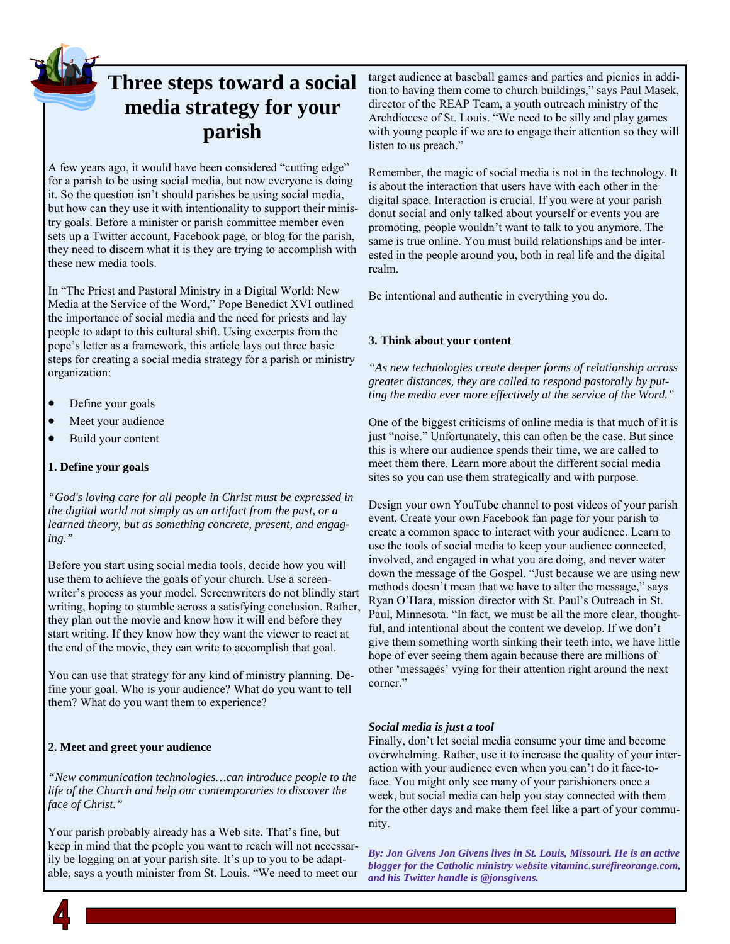**Three steps toward a social media strategy for your parish** 

A few years ago, it would have been considered "cutting edge" for a parish to be using social media, but now everyone is doing it. So the question isn't should parishes be using social media, but how can they use it with intentionality to support their ministry goals. Before a minister or parish committee member even sets up a Twitter account, Facebook page, or blog for the parish, they need to discern what it is they are trying to accomplish with these new media tools.

In "The Priest and Pastoral Ministry in a Digital World: New Media at the Service of the Word," Pope Benedict XVI outlined the importance of social media and the need for priests and lay people to adapt to this cultural shift. Using excerpts from the pope's letter as a framework, this article lays out three basic steps for creating a social media strategy for a parish or ministry organization:

- Define your goals
- Meet your audience
- Build your content

#### **1. Define your goals**

*"God's loving care for all people in Christ must be expressed in the digital world not simply as an artifact from the past, or a learned theory, but as something concrete, present, and engaging."*

Before you start using social media tools, decide how you will use them to achieve the goals of your church. Use a screenwriter's process as your model. Screenwriters do not blindly start writing, hoping to stumble across a satisfying conclusion. Rather, they plan out the movie and know how it will end before they start writing. If they know how they want the viewer to react at the end of the movie, they can write to accomplish that goal.

You can use that strategy for any kind of ministry planning. Define your goal. Who is your audience? What do you want to tell them? What do you want them to experience?

#### **2. Meet and greet your audience**

*"New communication technologies…can introduce people to the life of the Church and help our contemporaries to discover the face of Christ."*

Your parish probably already has a Web site. That's fine, but keep in mind that the people you want to reach will not necessarily be logging on at your parish site. It's up to you to be adaptable, says a youth minister from St. Louis. "We need to meet our

target audience at baseball games and parties and picnics in addition to having them come to church buildings," says Paul Masek, director of the REAP Team, a youth outreach ministry of the Archdiocese of St. Louis. "We need to be silly and play games with young people if we are to engage their attention so they will listen to us preach."

Remember, the magic of social media is not in the technology. It is about the interaction that users have with each other in the digital space. Interaction is crucial. If you were at your parish donut social and only talked about yourself or events you are promoting, people wouldn't want to talk to you anymore. The same is true online. You must build relationships and be interested in the people around you, both in real life and the digital realm.

Be intentional and authentic in everything you do.

#### **3. Think about your content**

*"As new technologies create deeper forms of relationship across greater distances, they are called to respond pastorally by putting the media ever more effectively at the service of the Word."*

One of the biggest criticisms of online media is that much of it is just "noise." Unfortunately, this can often be the case. But since this is where our audience spends their time, we are called to meet them there. Learn more about the different social media sites so you can use them strategically and with purpose.

Design your own YouTube channel to post videos of your parish event. Create your own Facebook fan page for your parish to create a common space to interact with your audience. Learn to use the tools of social media to keep your audience connected, involved, and engaged in what you are doing, and never water down the message of the Gospel. "Just because we are using new methods doesn't mean that we have to alter the message," says Ryan O'Hara, mission director with St. Paul's Outreach in St. Paul, Minnesota. "In fact, we must be all the more clear, thoughtful, and intentional about the content we develop. If we don't give them something worth sinking their teeth into, we have little hope of ever seeing them again because there are millions of other 'messages' vying for their attention right around the next corner."

#### *Social media is just a tool*

Finally, don't let social media consume your time and become overwhelming. Rather, use it to increase the quality of your interaction with your audience even when you can't do it face-toface. You might only see many of your parishioners once a week, but social media can help you stay connected with them for the other days and make them feel like a part of your community.

*By: Jon Givens Jon Givens lives in St. Louis, Missouri. He is an active blogger for the Catholic ministry website vitaminc.surefireorange.com, and his Twitter handle is @jonsgivens.*